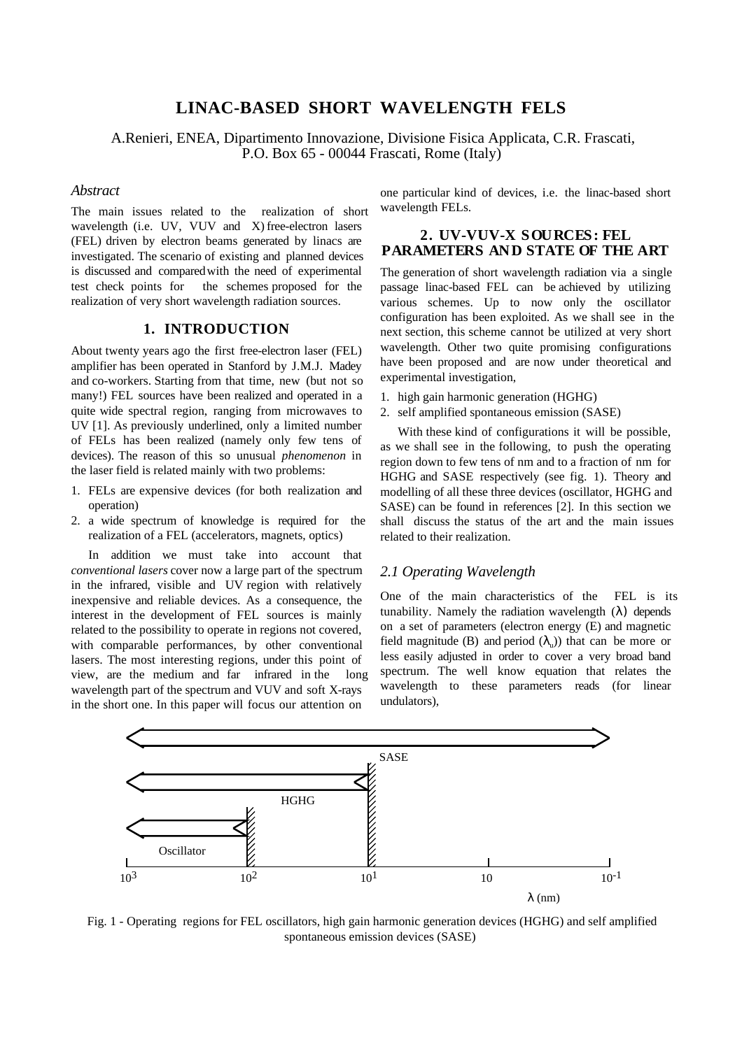# **LINAC-BASED SHORT WAVELENGTH FELS**

A.Renieri, ENEA, Dipartimento Innovazione, Divisione Fisica Applicata, C.R. Frascati, P.O. Box 65 - 00044 Frascati, Rome (Italy)

### *Abstract*

The main issues related to the realization of short wavelength (i.e. UV, VUV and X) free-electron lasers (FEL) driven by electron beams generated by linacs are investigated. The scenario of existing and planned devices is discussed and compared with the need of experimental test check points for the schemes proposed for the realization of very short wavelength radiation sources.

### **1. INTRODUCTION**

About twenty years ago the first free-electron laser (FEL) amplifier has been operated in Stanford by J.M.J. Madey and co-workers. Starting from that time, new (but not so many!) FEL sources have been realized and operated in a quite wide spectral region, ranging from microwaves to UV [1]. As previously underlined, only a limited number of FELs has been realized (namely only few tens of devices). The reason of this so unusual *phenomenon* in the laser field is related mainly with two problems:

- 1. FELs are expensive devices (for both realization and operation)
- 2. a wide spectrum of knowledge is required for the realization of a FEL (accelerators, magnets, optics)

In addition we must take into account that *conventional lasers* cover now a large part of the spectrum in the infrared, visible and UV region with relatively inexpensive and reliable devices. As a consequence, the interest in the development of FEL sources is mainly related to the possibility to operate in regions not covered, with comparable performances, by other conventional lasers. The most interesting regions, under this point of view, are the medium and far infrared in the long wavelength part of the spectrum and VUV and soft X-rays in the short one. In this paper will focus our attention on

one particular kind of devices, i.e. the linac-based short wavelength FELs.

## **2. UV-VUV-X SOURCES: FEL PARAMETERS AND STATE OF THE ART**

The generation of short wavelength radiation via a single passage linac-based FEL can be achieved by utilizing various schemes. Up to now only the oscillator configuration has been exploited. As we shall see in the next section, this scheme cannot be utilized at very short wavelength. Other two quite promising configurations have been proposed and are now under theoretical and experimental investigation,

- 1. high gain harmonic generation (HGHG)
- 2. self amplified spontaneous emission (SASE)

With these kind of configurations it will be possible, as we shall see in the following, to push the operating region down to few tens of nm and to a fraction of nm for HGHG and SASE respectively (see fig. 1). Theory and modelling of all these three devices (oscillator, HGHG and SASE) can be found in references [2]. In this section we shall discuss the status of the art and the main issues related to their realization.

## *2.1 Operating Wavelength*

One of the main characteristics of the FEL is its tunability. Namely the radiation wavelength  $(\lambda)$  depends on a set of parameters (electron energy (E) and magnetic field magnitude (B) and period  $(\lambda_n)$ ) that can be more or less easily adjusted in order to cover a very broad band spectrum. The well know equation that relates the wavelength to these parameters reads (for linear undulators),



Fig. 1 - Operating regions for FEL oscillators, high gain harmonic generation devices (HGHG) and self amplified spontaneous emission devices (SASE)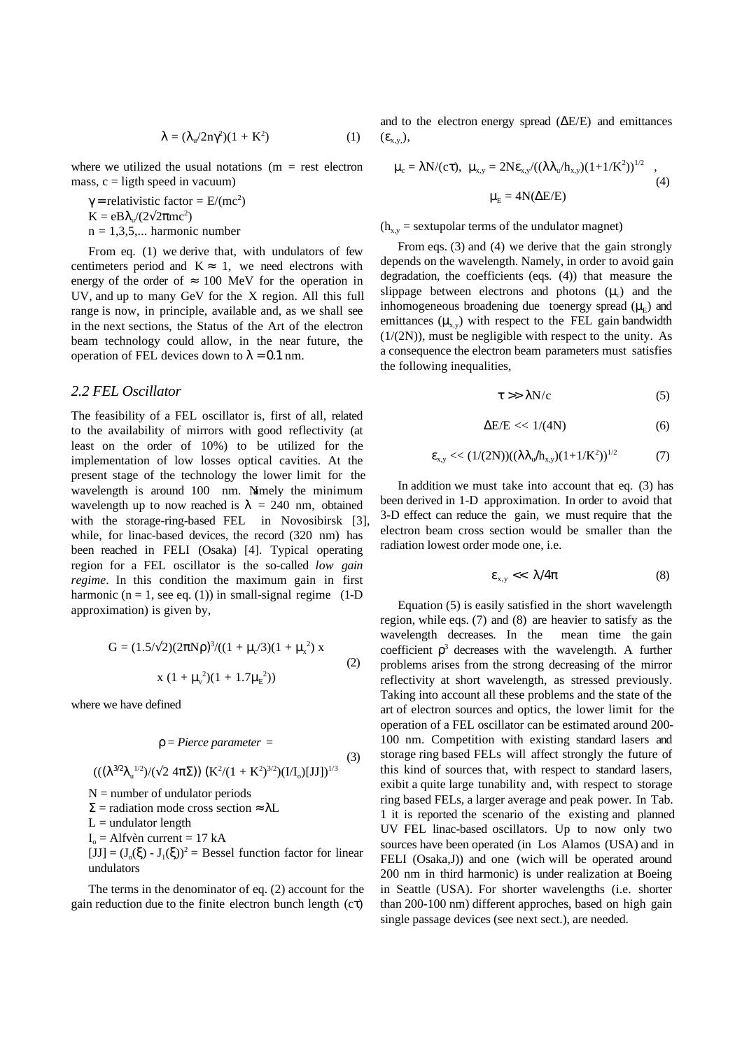$$
\lambda = (\lambda_{\rm u}/2n\gamma^2)(1 + K^2) \tag{1}
$$

where we utilized the usual notations  $(m = rest$  electron mass,  $c =$  ligth speed in vacuum)

 $\gamma$  = relativistic factor = E/(mc<sup>2</sup>)  $K = eB\lambda_{u}/(2\sqrt{2\pi m c^2})$  $n = 1,3,5,...$  harmonic number

From eq. (1) we derive that, with undulators of few centimeters period and  $K \approx 1$ , we need electrons with energy of the order of  $\approx 100$  MeV for the operation in UV, and up to many GeV for the X region. All this full range is now, in principle, available and, as we shall see in the next sections, the Status of the Art of the electron beam technology could allow, in the near future, the operation of FEL devices down to  $\lambda = 0.1$  nm.

#### *2.2 FEL Oscillator*

The feasibility of a FEL oscillator is, first of all, related to the availability of mirrors with good reflectivity (at least on the order of 10%) to be utilized for the implementation of low losses optical cavities. At the present stage of the technology the lower limit for the wavelength is around 100 nm. Namely the minimum wavelength up to now reached is  $\lambda = 240$  nm, obtained with the storage-ring-based FEL in Novosibirsk [3], while, for linac-based devices, the record (320 nm) has been reached in FELI (Osaka) [4]. Typical operating region for a FEL oscillator is the so-called *low gain regime*. In this condition the maximum gain in first harmonic ( $n = 1$ , see eq. (1)) in small-signal regime (1-D) approximation) is given by,

G = 
$$
(1.5/\sqrt{2})(2\pi N\rho)^3/((1 + \mu_c/3)(1 + \mu_x^2) x
$$
  
x  $(1 + \mu_v^2)(1 + 1.7\mu_E^2))$  (2)

where we have defined

$$
\rho = \text{Pierre parameter} =
$$
\n
$$
(((\lambda^{3/2}\lambda_{\mathrm{u}}^{1/2})/(\sqrt{2} 4\pi\Sigma)) (K^2/(1 + K^2)^{3/2})(I/I_0)[JJ])^{1/3}
$$
\n
$$
N = \text{number of undulator periods}
$$
\n
$$
\Sigma = \text{radiation mode cross section} \approx \lambda L
$$
\n
$$
L = \text{undulator length}
$$
\n
$$
I_0 = \text{Alfvèn current} = 17 \text{ kA}
$$
\n
$$
[JJ] = (J_0(\xi) - J_1(\xi))^2 = \text{Bessel function factor for linear}
$$

 $[JJ] = (J_0(\xi) - J_1(\xi))^2$  = Bessel function factor for linear undulators

The terms in the denominator of eq. (2) account for the gain reduction due to the finite electron bunch length (cτ)

and to the electron energy spread (∆E/E) and emittances  $(\varepsilon_{x,y})$ ,

$$
\mu_{c} = \lambda N/(c\tau), \quad \mu_{x,y} = 2N\epsilon_{x,y}/((\lambda \lambda_{u}/h_{x,y})(1+1/K^{2}))^{1/2} \quad ,
$$
\n
$$
\mu_{E} = 4N(\Delta E/E) \tag{4}
$$

 $(h_{x,y}$  = sextupolar terms of the undulator magnet)

From eqs. (3) and (4) we derive that the gain strongly depends on the wavelength. Namely, in order to avoid gain degradation, the coefficients (eqs. (4)) that measure the slippage between electrons and photons  $(\mu_c)$  and the inhomogeneous broadening due to energy spread  $(\mu_F)$  and emittances  $(\mu_{xy})$  with respect to the FEL gain bandwidth  $(1/(2N))$ , must be negligible with respect to the unity. As a consequence the electron beam parameters must satisfies the following inequalities,

$$
\tau \gg \lambda N/c \tag{5}
$$

$$
\Delta E/E \ll 1/(4N) \tag{6}
$$

$$
\varepsilon_{x,y} \ll (1/(2N))((\lambda \lambda_{u}/h_{x,y})(1+1/K^2))^{1/2} \tag{7}
$$

In addition we must take into account that eq. (3) has been derived in 1-D approximation. In order to avoid that 3-D effect can reduce the gain, we must require that the electron beam cross section would be smaller than the radiation lowest order mode one, i.e.

$$
\varepsilon_{x,y} \ll \lambda/4\pi \tag{8}
$$

Equation (5) is easily satisfied in the short wavelength region, while eqs. (7) and (8) are heavier to satisfy as the wavelength decreases. In the mean time the gain coefficient  $\rho^3$  decreases with the wavelength. A further problems arises from the strong decreasing of the mirror reflectivity at short wavelength, as stressed previously. Taking into account all these problems and the state of the art of electron sources and optics, the lower limit for the operation of a FEL oscillator can be estimated around 200- 100 nm. Competition with existing standard lasers and storage ring based FELs will affect strongly the future of this kind of sources that, with respect to standard lasers, exibit a quite large tunability and, with respect to storage ring based FELs, a larger average and peak power. In Tab. 1 it is reported the scenario of the existing and planned UV FEL linac-based oscillators. Up to now only two sources have been operated (in Los Alamos (USA) and in FELI (Osaka,J)) and one (wich will be operated around 200 nm in third harmonic) is under realization at Boeing in Seattle (USA). For shorter wavelengths (i.e. shorter than 200-100 nm) different approches, based on high gain single passage devices (see next sect.), are needed.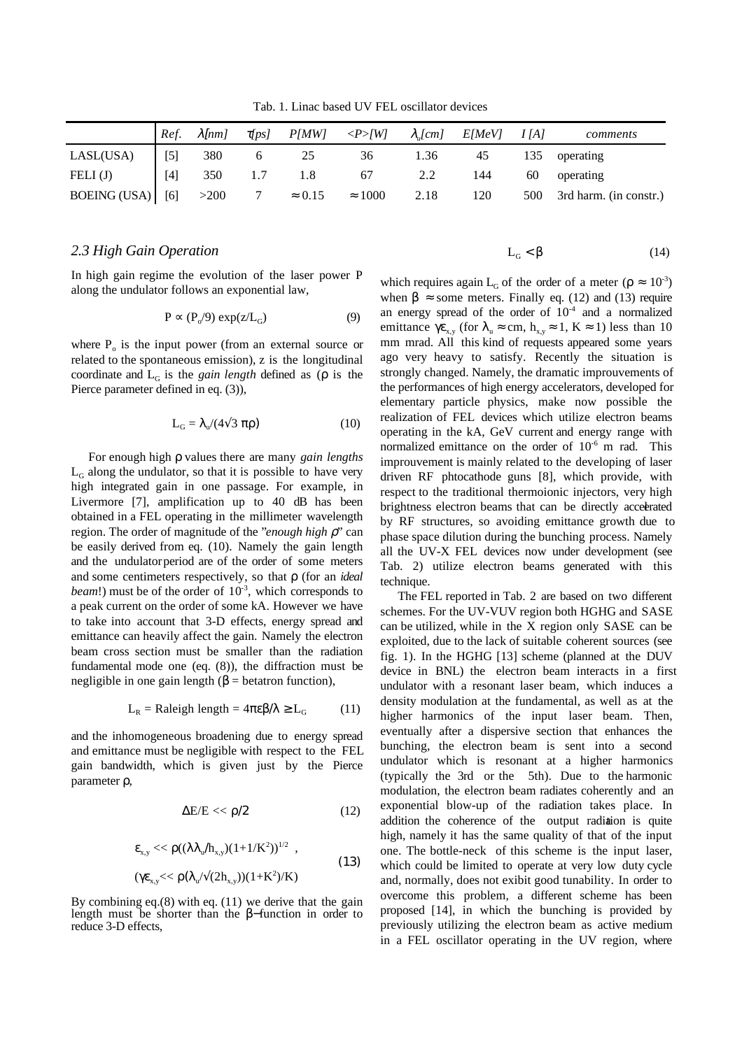Tab. 1. Linac based UV FEL oscillator devices

|                  | Ref.  | $\lambda$ [nm] | $\tau$ [ps]    | P(MW)          | $\langle P> W $ | $\lambda_u$ [cm] | E[MeV] | I[A] | comments                   |
|------------------|-------|----------------|----------------|----------------|-----------------|------------------|--------|------|----------------------------|
| LASL(USA)        | $[5]$ | 380            |                |                | 36              | 1.36             | 45     | 135  | operating                  |
| FELI $(J)$       | $[4]$ | 350            |                |                | 67              | 2.2              | 144    | 60   | operating                  |
| BOEING (USA) [6] |       | >200           | $\overline{7}$ | $\approx 0.15$ | $\approx 1000$  | 2.18             | 120    |      | 500 3rd harm. (in constr.) |

#### *2.3 High Gain Operation*

In high gain regime the evolution of the laser power P along the undulator follows an exponential law,

$$
P \propto (P_o/9) \exp(z/L_G) \tag{9}
$$

where  $P_0$  is the input power (from an external source or related to the spontaneous emission), z is the longitudinal coordinate and  $L_G$  is the *gain length* defined as ( $\rho$  is the Pierce parameter defined in eq. (3)).

$$
L_G = \lambda_u / (4\sqrt{3} \pi \rho) \tag{10}
$$

For enough high ρ values there are many *gain lengths*  $L<sub>G</sub>$  along the undulator, so that it is possible to have very high integrated gain in one passage. For example, in Livermore [7], amplification up to 40 dB has been obtained in a FEL operating in the millimeter wavelength region. The order of magnitude of the "*enough high* ρ" can be easily derived from eq. (10). Namely the gain length and the undulator period are of the order of some meters and some centimeters respectively, so that ρ (for an *ideal beam!*) must be of the order of  $10^{-3}$ , which corresponds to a peak current on the order of some kA. However we have to take into account that 3-D effects, energy spread and emittance can heavily affect the gain. Namely the electron beam cross section must be smaller than the radiation fundamental mode one (eq. (8)), the diffraction must be negligible in one gain length ( $β = betatron$  function),

$$
L_R = \text{Raleigh length} = 4\pi\epsilon\beta/\lambda \ge L_G \tag{11}
$$

and the inhomogeneous broadening due to energy spread and emittance must be negligible with respect to the FEL gain bandwidth, which is given just by the Pierce parameter ρ,

$$
\Delta E/E \ll \rho/2 \tag{12}
$$

$$
\varepsilon_{x,y} \ll \rho((\lambda \lambda_u / h_{x,y})(1+1/K^2))^{1/2} ,
$$
  

$$
(\gamma \varepsilon_{x,y} \ll \rho(\lambda_u / \sqrt{(2h_{x,y})})(1+K^2)/K)
$$
 (13)

By combining eq.(8) with eq. (11) we derive that the gain length must be shorter than the β−function in order to reduce 3-D effects,

$$
L_G < \beta \tag{14}
$$

which requires again L<sub>G</sub> of the order of a meter ( $\rho \approx 10^{-3}$ ) when  $\beta \approx$  some meters. Finally eq. (12) and (13) require an energy spread of the order of  $10^{-4}$  and a normalized emittance  $\gamma \varepsilon_{x,y}$  (for  $\lambda_u \approx \text{cm}$ ,  $h_{x,y} \approx 1$ ,  $K \approx 1$ ) less than 10 mm mrad. All this kind of requests appeared some years ago very heavy to satisfy. Recently the situation is strongly changed. Namely, the dramatic improuvements of the performances of high energy accelerators, developed for elementary particle physics, make now possible the realization of FEL devices which utilize electron beams operating in the kA, GeV current and energy range with normalized emittance on the order of  $10^{-6}$  m rad. This improuvement is mainly related to the developing of laser driven RF phtocathode guns [8], which provide, with respect to the traditional thermoionic injectors, very high brightness electron beams that can be directly accelerated by RF structures, so avoiding emittance growth due to phase space dilution during the bunching process. Namely all the UV-X FEL devices now under development (see Tab. 2) utilize electron beams generated with this technique.

The FEL reported in Tab. 2 are based on two different schemes. For the UV-VUV region both HGHG and SASE can be utilized, while in the X region only SASE can be exploited, due to the lack of suitable coherent sources (see fig. 1). In the HGHG [13] scheme (planned at the DUV device in BNL) the electron beam interacts in a first undulator with a resonant laser beam, which induces a density modulation at the fundamental, as well as at the higher harmonics of the input laser beam. Then, eventually after a dispersive section that enhances the bunching, the electron beam is sent into a second undulator which is resonant at a higher harmonics (typically the 3rd or the 5th). Due to the harmonic modulation, the electron beam radiates coherently and an exponential blow-up of the radiation takes place. In addition the coherence of the output radiation is quite high, namely it has the same quality of that of the input one. The bottle-neck of this scheme is the input laser, which could be limited to operate at very low duty cycle and, normally, does not exibit good tunability. In order to overcome this problem, a different scheme has been proposed [14], in which the bunching is provided by previously utilizing the electron beam as active medium in a FEL oscillator operating in the UV region, where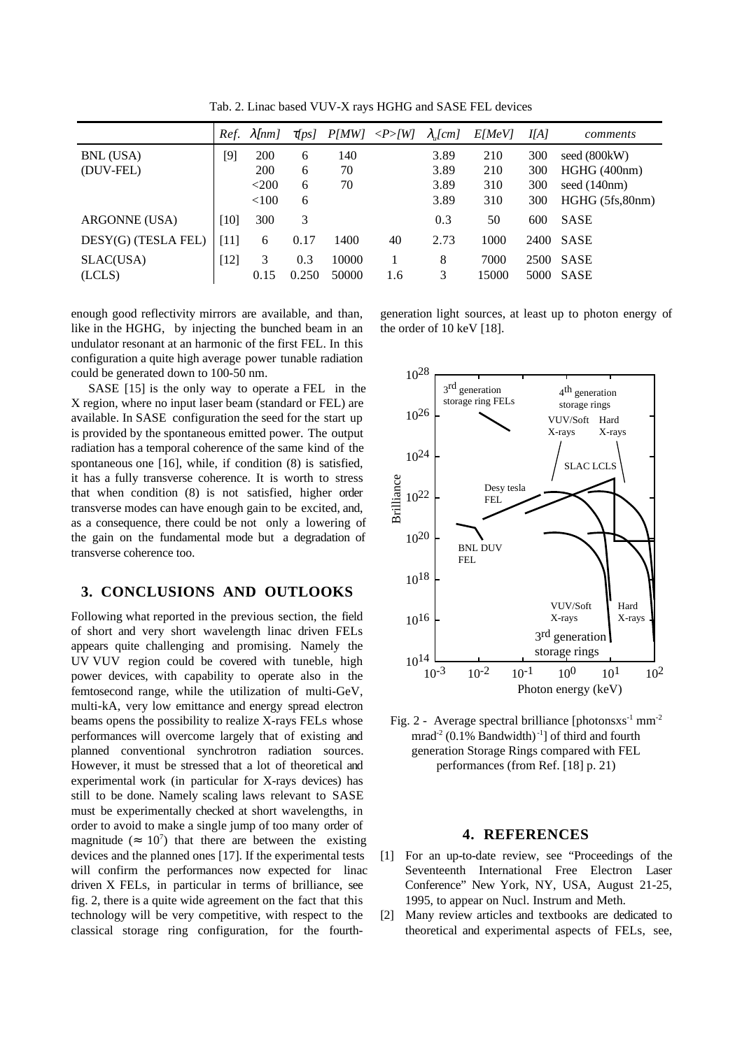|                        | Ref.   | $\lambda$ [nm]                 | $\tau$ [ps]      | P(MW)           | $\langle P>$ [W] | $\lambda$ <sub>u</sub> [cm]  | <i>E[MeV]</i>            | I[A]                     | comments                                                        |
|------------------------|--------|--------------------------------|------------------|-----------------|------------------|------------------------------|--------------------------|--------------------------|-----------------------------------------------------------------|
| BNL (USA)<br>(DUV-FEL) | $[9]$  | 200<br>200<br>$<$ 200<br>< 100 | 6<br>6<br>6<br>6 | 140<br>70<br>70 |                  | 3.89<br>3.89<br>3.89<br>3.89 | 210<br>210<br>310<br>310 | 300<br>300<br>300<br>300 | seed (800kW)<br>HGHG (400nm)<br>seed (140nm)<br>HGHG (5fs,80nm) |
| ARGONNE (USA)          | $[10]$ | 300                            | 3                |                 |                  | 0.3                          | 50                       | 600                      | <b>SASE</b>                                                     |
| DESY(G) (TESLA FEL)    | [11]   | 6                              | 0.17             | 1400            | 40               | 2.73                         | 1000                     | 2400                     | <b>SASE</b>                                                     |
| SLAC(USA)<br>(LCLS)    | [12]   | 3<br>0.15                      | 0.3<br>0.250     | 10000<br>50000  | 1.6              | 8<br>3                       | 7000<br>15000            | 2500<br>5000             | <b>SASE</b><br>SASE                                             |

Tab. 2. Linac based VUV-X rays HGHG and SASE FEL devices

enough good reflectivity mirrors are available, and than, like in the HGHG, by injecting the bunched beam in an undulator resonant at an harmonic of the first FEL. In this configuration a quite high average power tunable radiation could be generated down to 100-50 nm.

SASE [15] is the only way to operate a FEL in the X region, where no input laser beam (standard or FEL) are available. In SASE configuration the seed for the start up is provided by the spontaneous emitted power. The output radiation has a temporal coherence of the same kind of the spontaneous one [16], while, if condition (8) is satisfied, it has a fully transverse coherence. It is worth to stress that when condition (8) is not satisfied, higher order transverse modes can have enough gain to be excited, and, as a consequence, there could be not only a lowering of the gain on the fundamental mode but a degradation of transverse coherence too.

### **3. CONCLUSIONS AND OUTLOOKS**

Following what reported in the previous section, the field of short and very short wavelength linac driven FELs appears quite challenging and promising. Namely the UV VUV region could be covered with tuneble, high power devices, with capability to operate also in the femtosecond range, while the utilization of multi-GeV, multi-kA, very low emittance and energy spread electron beams opens the possibility to realize X-rays FELs whose performances will overcome largely that of existing and planned conventional synchrotron radiation sources. However, it must be stressed that a lot of theoretical and experimental work (in particular for X-rays devices) has still to be done. Namely scaling laws relevant to SASE must be experimentally checked at short wavelengths, in order to avoid to make a single jump of too many order of magnitude ( $\approx 10^7$ ) that there are between the existing devices and the planned ones [17]. If the experimental tests will confirm the performances now expected for linac driven X FELs, in particular in terms of brilliance, see fig. 2, there is a quite wide agreement on the fact that this technology will be very competitive, with respect to the classical storage ring configuration, for the fourth-

generation light sources, at least up to photon energy of the order of 10 keV [18].



Fig. 2 - Average spectral brilliance [photonsxs<sup>-1</sup> mm<sup>-2</sup> mrad<sup>-2</sup> (0.1% Bandwidth)<sup>-1</sup>] of third and fourth generation Storage Rings compared with FEL performances (from Ref. [18] p. 21)

#### **4. REFERENCES**

- [1] For an up-to-date review, see "Proceedings of the Seventeenth International Free Electron Laser Conference" New York, NY, USA, August 21-25, 1995, to appear on Nucl. Instrum and Meth.
- [2] Many review articles and textbooks are dedicated to theoretical and experimental aspects of FELs, see,